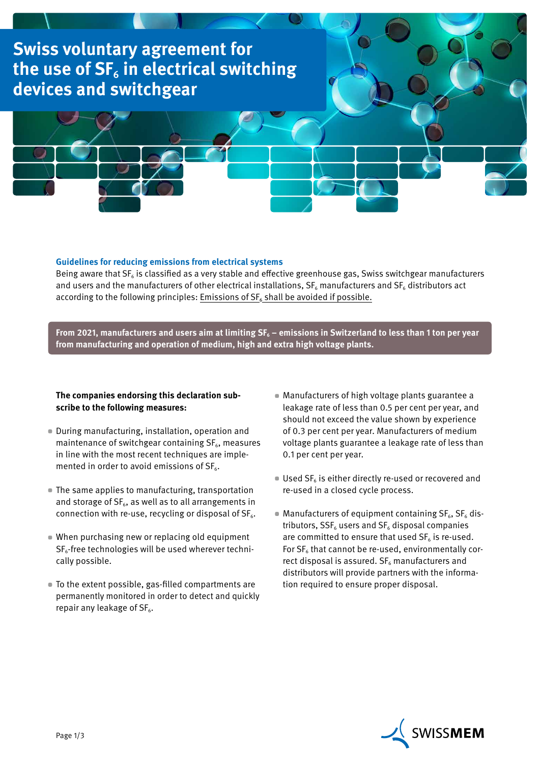

## **Guidelines for reducing emissions from electrical systems**

Being aware that  $SF<sub>6</sub>$  is classified as a very stable and effective greenhouse gas, Swiss switchgear manufacturers and users and the manufacturers of other electrical installations,  $SF_6$  manufacturers and  $SF_6$  distributors act according to the following principles: Emissions of  $SF<sub>6</sub>$  shall be avoided if possible.

From 2021, manufacturers and users aim at limiting SF<sub>6</sub> – emissions in Switzerland to less than 1 ton per year **from manufacturing and operation of medium, high and extra high voltage plants.**

## **The companies endorsing this declaration subscribe to the following measures:**

- During manufacturing, installation, operation and maintenance of switchgear containing  $SF<sub>6</sub>$ , measures in line with the most recent techniques are implemented in order to avoid emissions of  $SF<sub>6</sub>$ .
- The same applies to manufacturing, transportation and storage of  $SF_6$ , as well as to all arrangements in connection with re-use, recycling or disposal of  $SF<sub>6</sub>$ .
- When purchasing new or replacing old equipment  $SF<sub>6</sub>$ -free technologies will be used wherever technically possible.
- To the extent possible, gas-filled compartments are permanently monitored in order to detect and quickly repair any leakage of  $SF<sub>6</sub>$ .
- Manufacturers of high voltage plants guarantee a leakage rate of less than 0.5 per cent per year, and should not exceed the value shown by experience of 0.3 per cent per year. Manufacturers of medium voltage plants guarantee a leakage rate of less than 0.1 per cent per year.
- **Used SF<sub>6</sub>** is either directly re-used or recovered and re-used in a closed cycle process.
- $\blacksquare$  Manufacturers of equipment containing  $SF_6$ ,  $SF_6$  distributors,  $SSF_6$  users and  $SF_6$  disposal companies are committed to ensure that used  $SF<sub>6</sub>$  is re-used. For  $SF<sub>6</sub>$  that cannot be re-used, environmentally correct disposal is assured.  $SF<sub>6</sub>$  manufacturers and distributors will provide partners with the information required to ensure proper disposal.

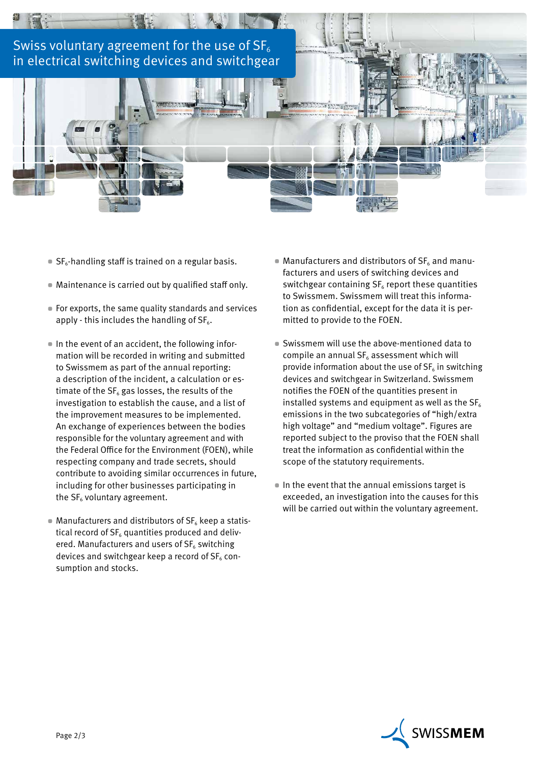

- $\blacksquare$  SF<sub>6</sub>-handling staff is trained on a regular basis.
- Maintenance is carried out by qualified staff only.
- For exports, the same quality standards and services apply - this includes the handling of  $SF<sub>6</sub>$ .
- In the event of an accident, the following information will be recorded in writing and submitted to Swissmem as part of the annual reporting: a description of the incident, a calculation or estimate of the  $SF<sub>6</sub>$  gas losses, the results of the investigation to establish the cause, and a list of the improvement measures to be implemented. An exchange of experiences between the bodies responsible for the voluntary agreement and with the Federal Office for the Environment (FOEN), while respecting company and trade secrets, should contribute to avoiding similar occurrences in future, including for other businesses participating in the  $SF<sub>6</sub>$  voluntary agreement.
- $\blacksquare$  Manufacturers and distributors of SF<sub>6</sub> keep a statistical record of  $SF<sub>6</sub>$  quantities produced and delivered. Manufacturers and users of  $SF<sub>6</sub>$  switching devices and switchgear keep a record of  $SF<sub>6</sub>$  consumption and stocks.
- $\blacksquare$  Manufacturers and distributors of SF<sub>6</sub> and manufacturers and users of switching devices and switchgear containing  $SF<sub>6</sub>$  report these quantities to Swissmem. Swissmem will treat this information as confidential, except for the data it is permitted to provide to the FOEN.
- Swissmem will use the above-mentioned data to compile an annual  $SF<sub>6</sub>$  assessment which will provide information about the use of  $SF<sub>6</sub>$  in switching devices and switchgear in Switzerland. Swissmem notifies the FOEN of the quantities present in installed systems and equipment as well as the  $SF<sub>6</sub>$ emissions in the two subcategories of "high/extra high voltage" and "medium voltage". Figures are reported subject to the proviso that the FOEN shall treat the information as confidential within the scope of the statutory requirements.
- In the event that the annual emissions target is exceeded, an investigation into the causes for this will be carried out within the voluntary agreement.